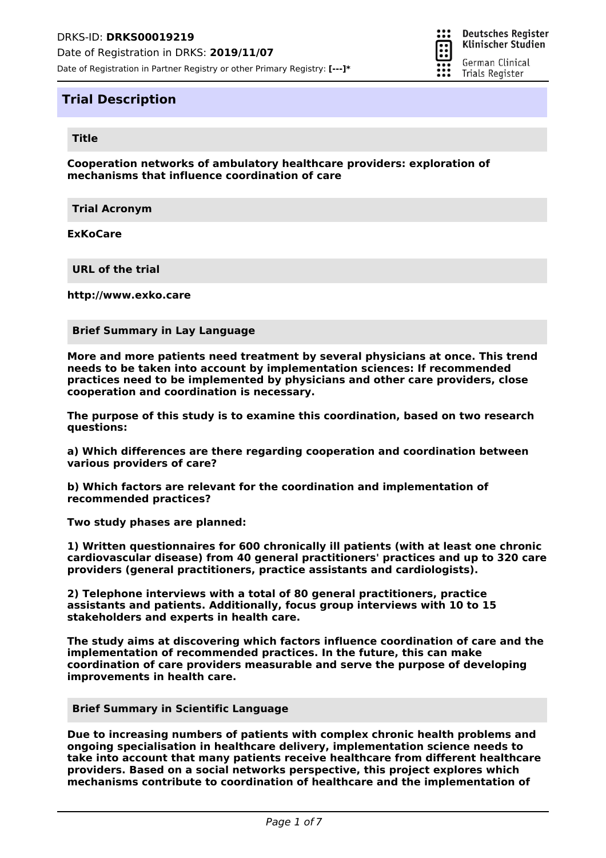

# **Title**

**Cooperation networks of ambulatory healthcare providers: exploration of mechanisms that influence coordination of care**

።

π

**Deutsches Register** Klinischer Studien

German Clinical Trials Register

**Trial Acronym**

**ExKoCare**

**URL of the trial**

**http://www.exko.care**

### **Brief Summary in Lay Language**

**More and more patients need treatment by several physicians at once. This trend needs to be taken into account by implementation sciences: If recommended practices need to be implemented by physicians and other care providers, close cooperation and coordination is necessary.**

**The purpose of this study is to examine this coordination, based on two research questions:**

**a) Which differences are there regarding cooperation and coordination between various providers of care?**

**b) Which factors are relevant for the coordination and implementation of recommended practices?**

**Two study phases are planned:**

**1) Written questionnaires for 600 chronically ill patients (with at least one chronic cardiovascular disease) from 40 general practitioners' practices and up to 320 care providers (general practitioners, practice assistants and cardiologists).**

**2) Telephone interviews with a total of 80 general practitioners, practice assistants and patients. Additionally, focus group interviews with 10 to 15 stakeholders and experts in health care.**

**The study aims at discovering which factors influence coordination of care and the implementation of recommended practices. In the future, this can make coordination of care providers measurable and serve the purpose of developing improvements in health care.**

#### **Brief Summary in Scientific Language**

**Due to increasing numbers of patients with complex chronic health problems and ongoing specialisation in healthcare delivery, implementation science needs to take into account that many patients receive healthcare from different healthcare providers. Based on a social networks perspective, this project explores which mechanisms contribute to coordination of healthcare and the implementation of**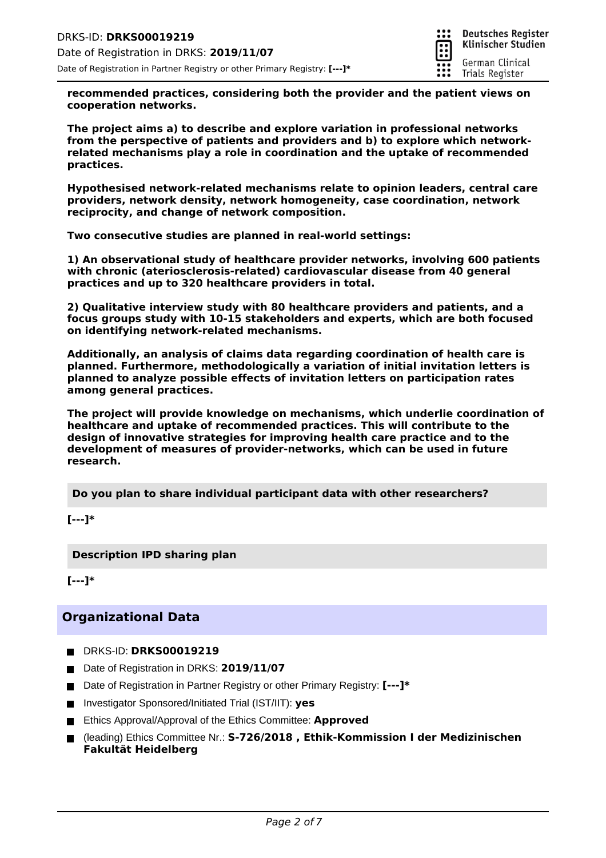

**recommended practices, considering both the provider and the patient views on cooperation networks.**

**The project aims a) to describe and explore variation in professional networks from the perspective of patients and providers and b) to explore which networkrelated mechanisms play a role in coordination and the uptake of recommended practices.**

**Hypothesised network-related mechanisms relate to opinion leaders, central care providers, network density, network homogeneity, case coordination, network reciprocity, and change of network composition.**

**Two consecutive studies are planned in real-world settings:**

**1) An observational study of healthcare provider networks, involving 600 patients with chronic (ateriosclerosis-related) cardiovascular disease from 40 general practices and up to 320 healthcare providers in total.**

**2) Qualitative interview study with 80 healthcare providers and patients, and a focus groups study with 10-15 stakeholders and experts, which are both focused on identifying network-related mechanisms.**

**Additionally, an analysis of claims data regarding coordination of health care is planned. Furthermore, methodologically a variation of initial invitation letters is planned to analyze possible effects of invitation letters on participation rates among general practices.**

**The project will provide knowledge on mechanisms, which underlie coordination of healthcare and uptake of recommended practices. This will contribute to the design of innovative strategies for improving health care practice and to the development of measures of provider-networks, which can be used in future research.**

**Do you plan to share individual participant data with other researchers?**

**[---]\***

**Description IPD sharing plan**

**[---]\***

# **Organizational Data**

- DRKS-ID: **DRKS00019219**
- Date of Registration in DRKS: 2019/11/07
- Date of Registration in Partner Registry or other Primary Registry: **[---]**\*
- Investigator Sponsored/Initiated Trial (IST/IIT): yes
- Ethics Approval/Approval of the Ethics Committee: Approved
- (leading) Ethics Committee Nr.: **S-726/2018 , Ethik-Kommission I der Medizinischen Fakultät Heidelberg**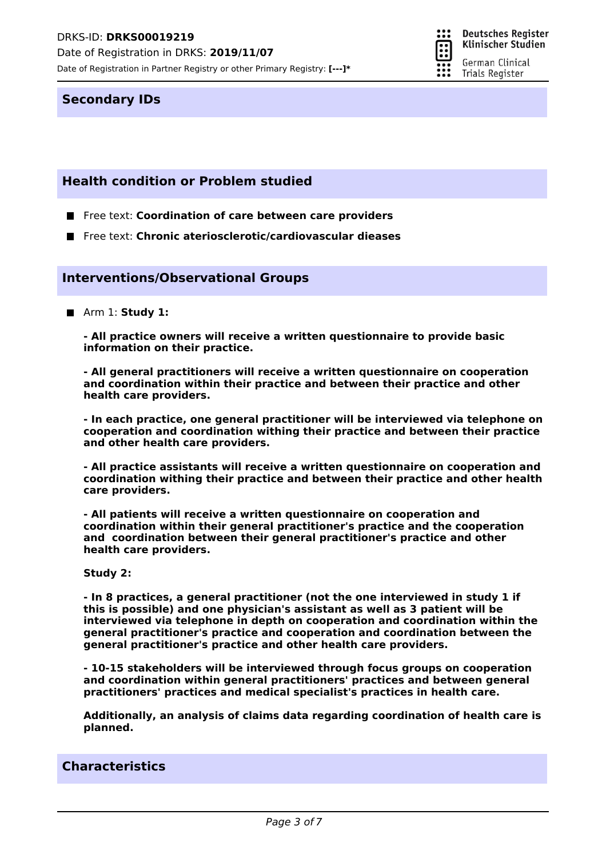Date of Registration in DRKS: **2019/11/07**

Date of Registration in Partner Registry or other Primary Registry: **[---]\***



**Deutsches Register** Klinischer Studien

German Clinical Trials Register

## **Secondary IDs**

# **Health condition or Problem studied**

- **Figure 12 Free text: Coordination of care between care providers**
- Free text: **Chronic ateriosclerotic/cardiovascular dieases**

## **Interventions/Observational Groups**

■ Arm 1: **Study 1:** 

**- All practice owners will receive a written questionnaire to provide basic information on their practice.**

**- All general practitioners will receive a written questionnaire on cooperation and coordination within their practice and between their practice and other health care providers.**

**- In each practice, one general practitioner will be interviewed via telephone on cooperation and coordination withing their practice and between their practice and other health care providers.**

**- All practice assistants will receive a written questionnaire on cooperation and coordination withing their practice and between their practice and other health care providers.**

**- All patients will receive a written questionnaire on cooperation and coordination within their general practitioner's practice and the cooperation and coordination between their general practitioner's practice and other health care providers.**

### **Study 2:**

**- In 8 practices, a general practitioner (not the one interviewed in study 1 if this is possible) and one physician's assistant as well as 3 patient will be interviewed via telephone in depth on cooperation and coordination within the general practitioner's practice and cooperation and coordination between the general practitioner's practice and other health care providers.**

**- 10-15 stakeholders will be interviewed through focus groups on cooperation and coordination within general practitioners' practices and between general practitioners' practices and medical specialist's practices in health care.**

**Additionally, an analysis of claims data regarding coordination of health care is planned.**

# **Characteristics**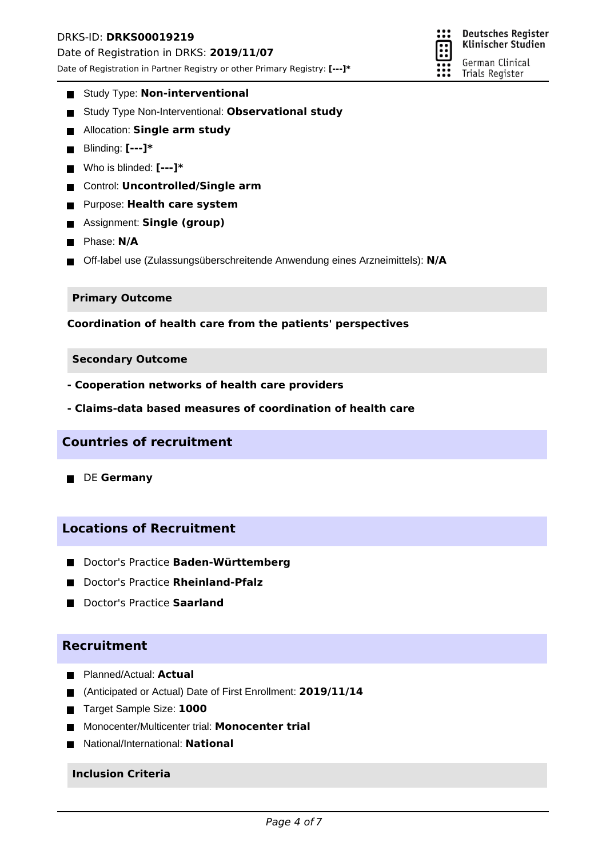## DRKS-ID: **DRKS00019219**

Date of Registration in DRKS: **2019/11/07**

Date of Registration in Partner Registry or other Primary Registry: **[---]\***



- **Study Type: Non-interventional**
- Study Type Non-Interventional: **Observational study**
- **E** Allocation: **Single arm study**
- Blinding: **[---]\***
- Who is blinded: **[---]\***
- Control: **Uncontrolled/Single arm**
- Purpose: **Health care system**
- Assignment: **Single (group)**
- **Phase: N/A**
- Off-label use (Zulassungsüberschreitende Anwendung eines Arzneimittels): N/A

### **Primary Outcome**

**Coordination of health care from the patients' perspectives**

### **Secondary Outcome**

- **Cooperation networks of health care providers**
- **Claims-data based measures of coordination of health care**

## **Countries of recruitment**

**DE Germany** 

# **Locations of Recruitment**

- Doctor's Practice **Baden-Württemberg**
- Doctor's Practice **Rheinland-Pfalz**
- **Doctor's Practice Saarland**

# **Recruitment**

- **Planned/Actual: Actual**
- (Anticipated or Actual) Date of First Enrollment: **2019/11/14**
- Target Sample Size: **1000**  $\blacksquare$
- Monocenter/Multicenter trial: **Monocenter trial**  $\blacksquare$
- National/International: **National**

### **Inclusion Criteria**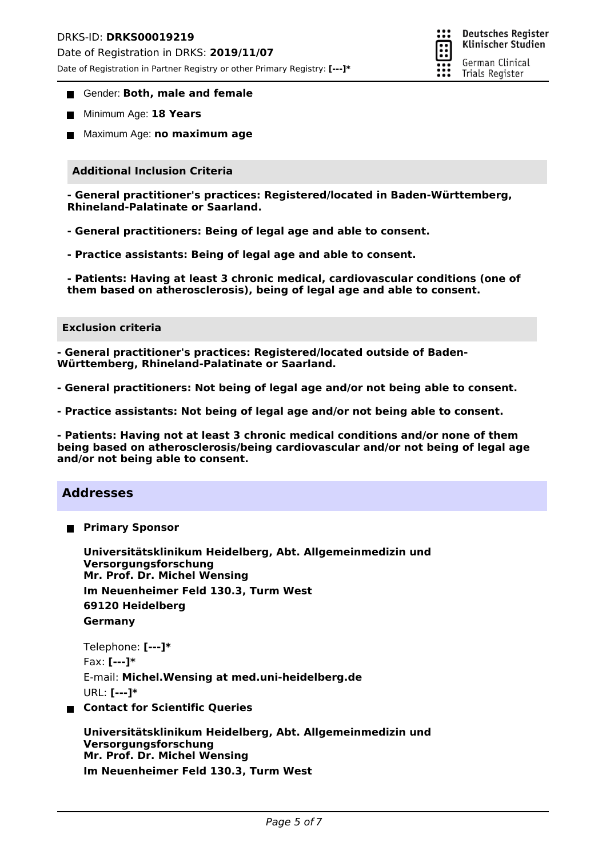## DRKS-ID: **DRKS00019219**

Date of Registration in DRKS: **2019/11/07**

Date of Registration in Partner Registry or other Primary Registry: **[---]\***

- **Gender: Both, male and female**
- **Minimum Age: 18 Years**
- Maximum Age: **no maximum age**

## **Additional Inclusion Criteria**

**- General practitioner's practices: Registered/located in Baden-Württemberg, Rhineland-Palatinate or Saarland.**

- **General practitioners: Being of legal age and able to consent.**
- **Practice assistants: Being of legal age and able to consent.**

**- Patients: Having at least 3 chronic medical, cardiovascular conditions (one of them based on atherosclerosis), being of legal age and able to consent.**

### **Exclusion criteria**

**- General practitioner's practices: Registered/located outside of Baden-Württemberg, Rhineland-Palatinate or Saarland.**

**- General practitioners: Not being of legal age and/or not being able to consent.**

**- Practice assistants: Not being of legal age and/or not being able to consent.**

**- Patients: Having not at least 3 chronic medical conditions and/or none of them being based on atherosclerosis/being cardiovascular and/or not being of legal age and/or not being able to consent.**

## **Addresses**

**Primary Sponsor**

**Mr. Prof. Dr. Michel Wensing Universitätsklinikum Heidelberg, Abt. Allgemeinmedizin und Versorgungsforschung Im Neuenheimer Feld 130.3, Turm West 69120 Heidelberg Germany**

```
Telephone: [---]*
Fax: [---]*
E-mail: Michel.Wensing at med.uni-heidelberg.de
URL: [---]*
```
**Contact for Scientific Queries**

**Mr. Prof. Dr. Michel Wensing Universitätsklinikum Heidelberg, Abt. Allgemeinmedizin und Versorgungsforschung Im Neuenheimer Feld 130.3, Turm West**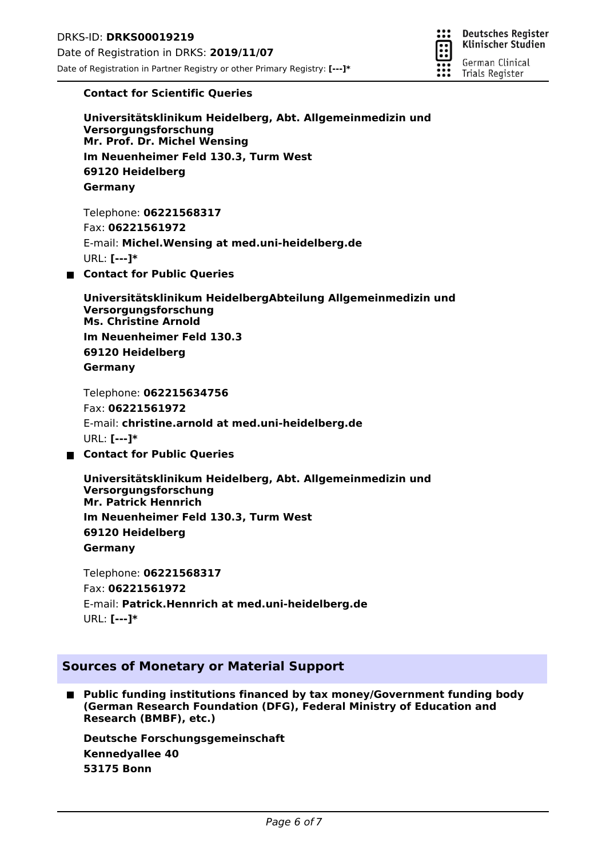

## **Contact for Scientific Queries**

**Mr. Prof. Dr. Michel Wensing Universitätsklinikum Heidelberg, Abt. Allgemeinmedizin und Versorgungsforschung Im Neuenheimer Feld 130.3, Turm West 69120 Heidelberg Germany**

Telephone: **06221568317** Fax: **06221561972** E-mail: **Michel.Wensing at med.uni-heidelberg.de** URL: **[---]\***

**Contact for Public Queries**

**Ms. Christine Arnold Universitätsklinikum HeidelbergAbteilung Allgemeinmedizin und Versorgungsforschung Im Neuenheimer Feld 130.3 69120 Heidelberg Germany**

Telephone: **062215634756** Fax: **06221561972** E-mail: **christine.arnold at med.uni-heidelberg.de** URL: **[---]\***

**Contact for Public Queries**

**Mr. Patrick Hennrich Universitätsklinikum Heidelberg, Abt. Allgemeinmedizin und Versorgungsforschung Im Neuenheimer Feld 130.3, Turm West 69120 Heidelberg Germany**

Telephone: **06221568317** Fax: **06221561972** E-mail: **Patrick.Hennrich at med.uni-heidelberg.de** URL: **[---]\***

# **Sources of Monetary or Material Support**

**Public funding institutions financed by tax money/Government funding body**  $\blacksquare$ **(German Research Foundation (DFG), Federal Ministry of Education and Research (BMBF), etc.)**

**Kennedyallee 40 Deutsche Forschungsgemeinschaft 53175 Bonn**